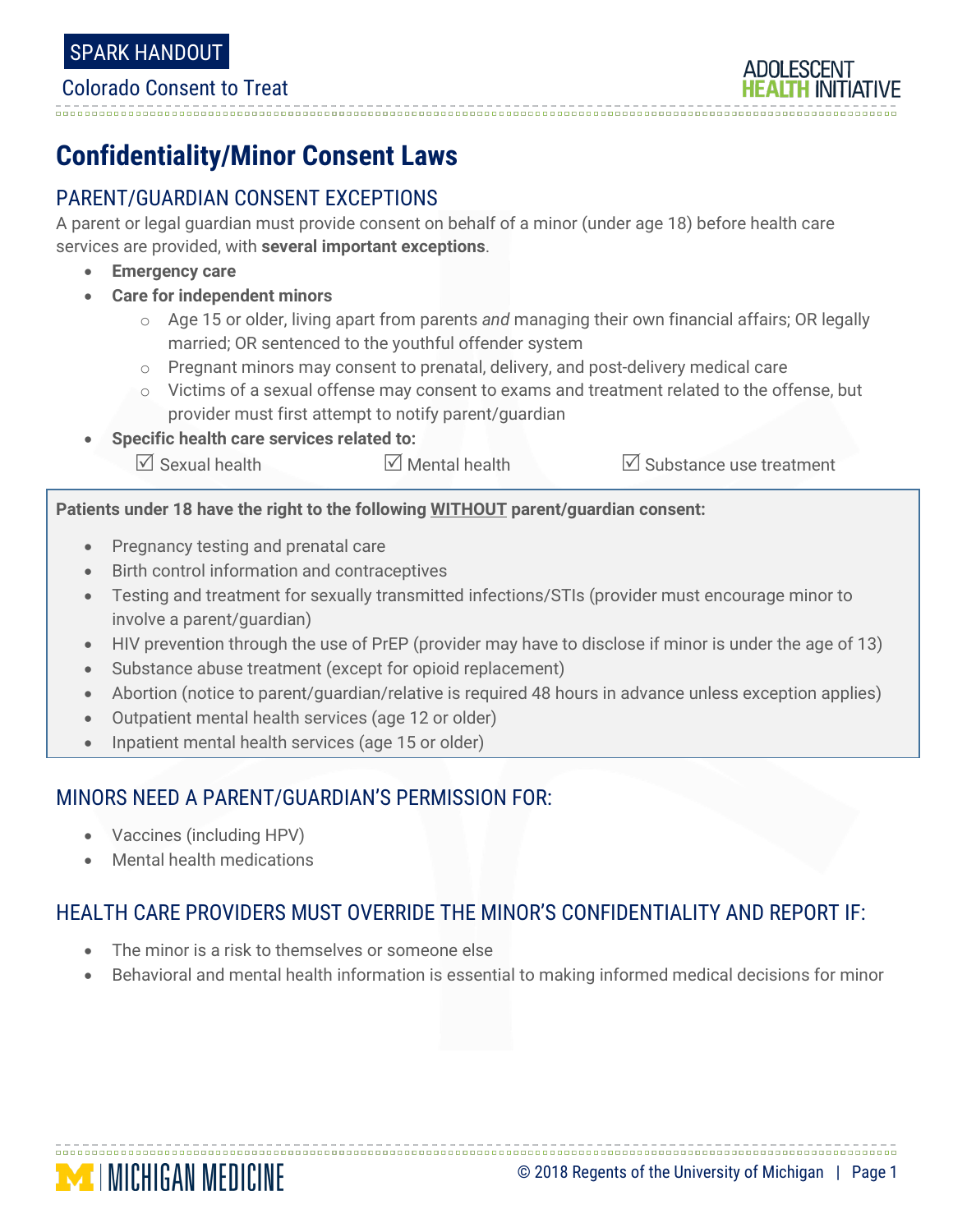#### Colorado Consent to Treat

# **Confidentiality/Minor Consent Laws**

## PARENT/GUARDIAN CONSENT EXCEPTIONS

A parent or legal guardian must provide consent on behalf of a minor (under age 18) before health care services are provided, with **several important exceptions**.

- **Emergency care**
- **Care for independent minors**
	- o Age 15 or older, living apart from parents *and* managing their own financial affairs; OR legally married; OR sentenced to the youthful offender system
	- o Pregnant minors may consent to prenatal, delivery, and post-delivery medical care
	- $\circ$  Victims of a sexual offense may consent to exams and treatment related to the offense, but provider must first attempt to notify parent/guardian
- **Specific health care services related to:**
	- $\boxtimes$  Sexual health  $\boxtimes$  Mental health  $\boxtimes$  Substance use treatment

**Patients under 18 have the right to the following WITHOUT parent/guardian consent:**

- Pregnancy testing and prenatal care
- Birth control information and contraceptives
- Testing and treatment for sexually transmitted infections/STIs (provider must encourage minor to involve a parent/guardian)
- HIV prevention through the use of PrEP (provider may have to disclose if minor is under the age of 13)
- Substance abuse treatment (except for opioid replacement)
- Abortion (notice to parent/guardian/relative is required 48 hours in advance unless exception applies)
- Outpatient mental health services (age 12 or older)
- Inpatient mental health services (age 15 or older)

### MINORS NEED A PARENT/GUARDIAN'S PERMISSION FOR:

- Vaccines (including HPV)
- Mental health medications

## HEALTH CARE PROVIDERS MUST OVERRIDE THE MINOR'S CONFIDENTIALITY AND REPORT IF:

- The minor is a risk to themselves or someone else
- Behavioral and mental health information is essential to making informed medical decisions for minor